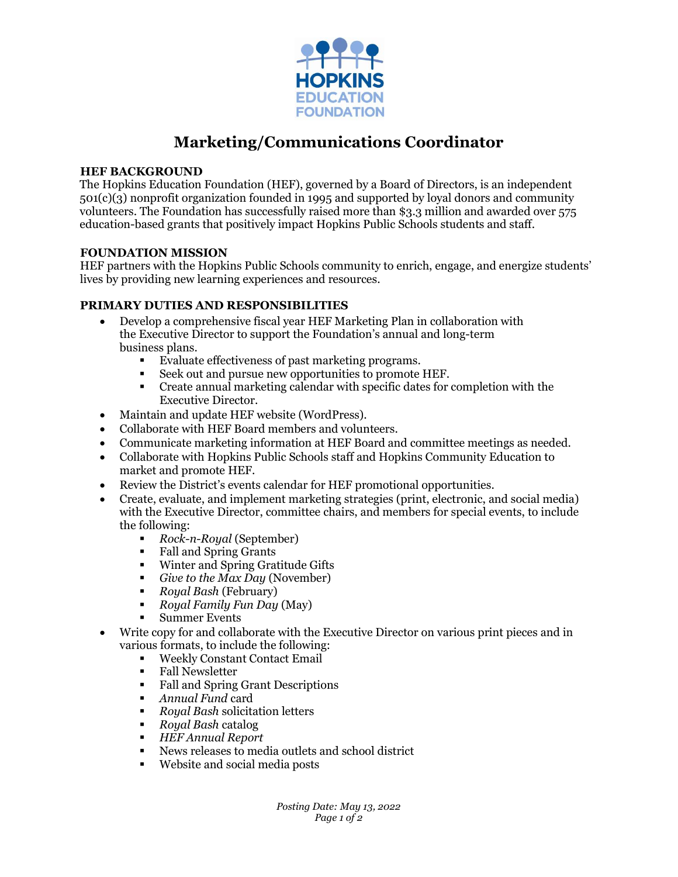

# **Marketing/Communications Coordinator**

#### **HEF BACKGROUND**

The Hopkins Education Foundation (HEF), governed by a Board of Directors, is an independent 501(c)(3) nonprofit organization founded in 1995 and supported by loyal donors and community volunteers. The Foundation has successfully raised more than \$3.3 million and awarded over 575 education-based grants that positively impact Hopkins Public Schools students and staff.

#### **FOUNDATION MISSION**

HEF partners with the Hopkins Public Schools community to enrich, engage, and energize students' lives by providing new learning experiences and resources.

## **PRIMARY DUTIES AND RESPONSIBILITIES**

- Develop a comprehensive fiscal year HEF Marketing Plan in collaboration with the Executive Director to support the Foundation's annual and long-term business plans.
	- Evaluate effectiveness of past marketing programs.
	- Seek out and pursue new opportunities to promote HEF.
	- Create annual marketing calendar with specific dates for completion with the Executive Director.
- Maintain and update HEF website (WordPress).
- Collaborate with HEF Board members and volunteers.
- Communicate marketing information at HEF Board and committee meetings as needed.
- Collaborate with Hopkins Public Schools staff and Hopkins Community Education to market and promote HEF.
- Review the District's events calendar for HEF promotional opportunities.
- Create, evaluate, and implement marketing strategies (print, electronic, and social media) with the Executive Director, committee chairs, and members for special events, to include the following:
	- **Rock-n-Royal (September)**<br> **Exall and Spring Grants**
	- Fall and Spring Grants
	- Winter and Spring Gratitude Gifts
	- *Give to the Max Day* (November)
	- *Royal Bash* (February)
	- *Royal Family Fun Day* (May)
	- **Summer Events**
- Write copy for and collaborate with the Executive Director on various print pieces and in various formats, to include the following:
	- Weekly Constant Contact Email<br>■ Fall Newsletter
	- **Fall Newsletter**
	- Fall and Spring Grant Descriptions
	- *Annual Fund* card
	- *Royal Bash* solicitation letters
	- *Royal Bash* catalog
	- *HEF Annual Report*
	- News releases to media outlets and school district
	- Website and social media posts